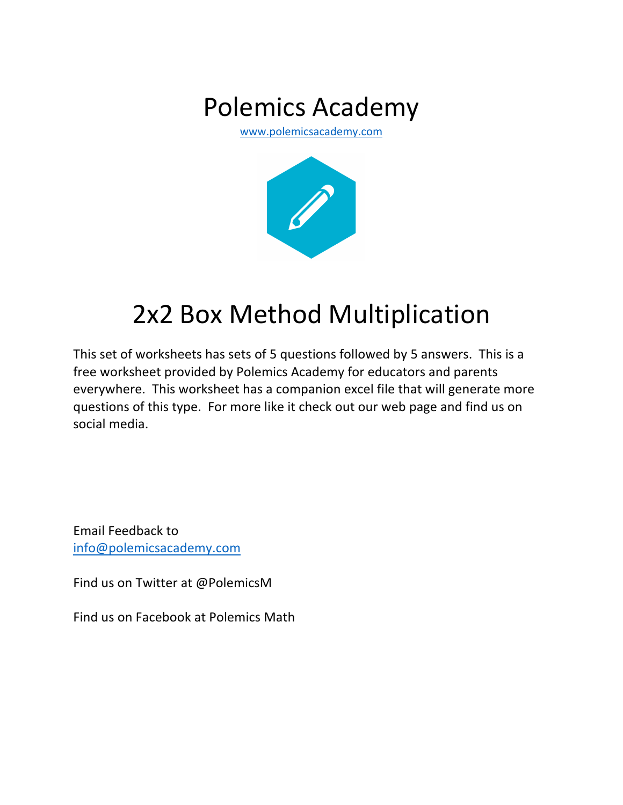# Polemics Academy

www.polemicsacademy.com



# 2x2 Box Method Multiplication

This set of worksheets has sets of 5 questions followed by 5 answers. This is a free worksheet provided by Polemics Academy for educators and parents everywhere. This worksheet has a companion excel file that will generate more questions of this type. For more like it check out our web page and find us on social media.

Email Feedback to info@polemicsacademy.com

Find us on Twitter at @PolemicsM

Find us on Facebook at Polemics Math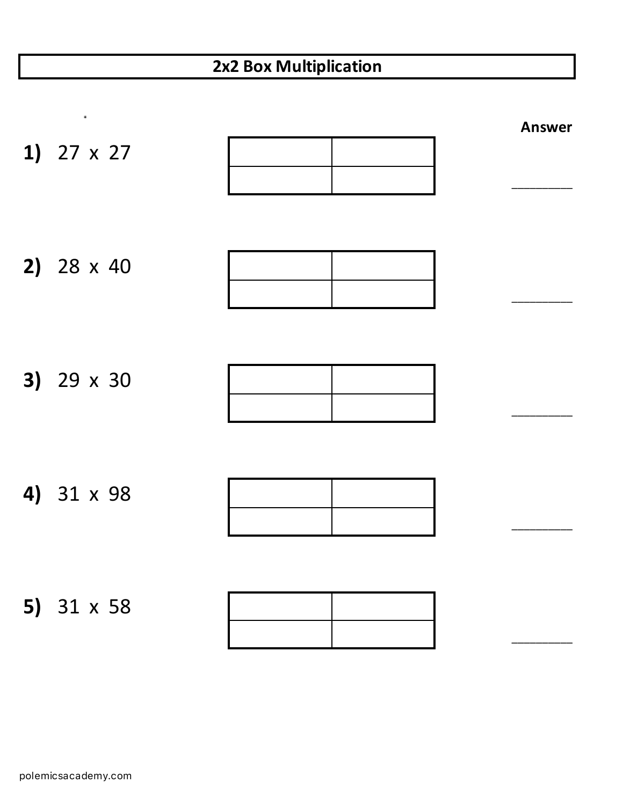| 1) $27 \times 27$ | <b>Answer</b> |
|-------------------|---------------|
| 2) $28 \times 40$ |               |
| 3) 29 x 30        |               |
| 4) 31 x 98        |               |
| 5) 31 x 58        |               |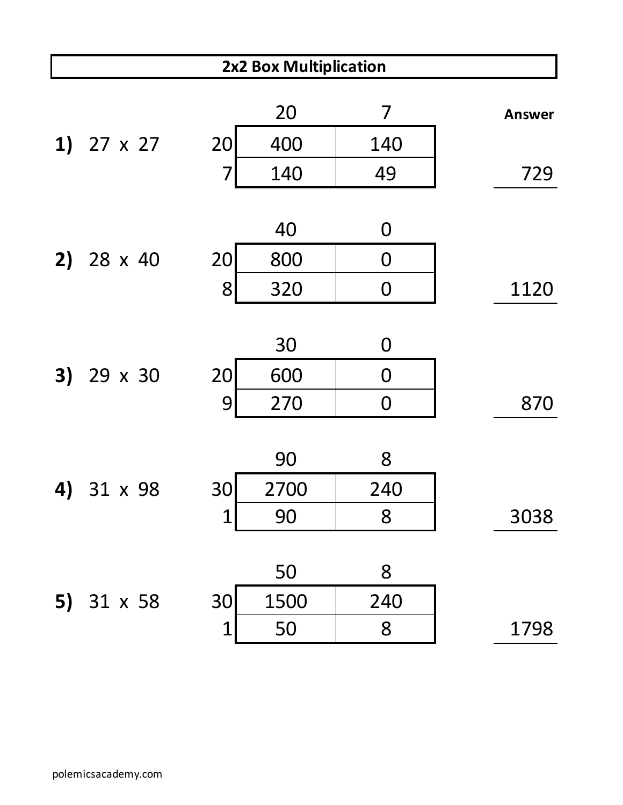|    | 2x2 Box Multiplication |                |      |                |               |  |
|----|------------------------|----------------|------|----------------|---------------|--|
|    |                        |                | 20   | 7              | <b>Answer</b> |  |
|    | 1) $27 \times 27$      | 20             | 400  | 140            |               |  |
|    |                        | $\overline{7}$ | 140  | 49             | 729           |  |
|    |                        |                |      |                |               |  |
|    |                        |                | 40   | 0              |               |  |
|    | 2) $28 \times 40$      | 20             | 800  | $\mathbf 0$    |               |  |
|    |                        | 8              | 320  | $\mathbf 0$    | 1120          |  |
|    |                        |                |      |                |               |  |
|    |                        |                | 30   | 0              |               |  |
|    | 3) 29 x 30             | 20             | 600  | $\overline{0}$ |               |  |
|    |                        | 9              | 270  | $\mathbf 0$    | 870           |  |
|    |                        |                |      |                |               |  |
|    |                        |                | 90   | 8              |               |  |
| 4) | 31 x 98                | 30             | 2700 | 240            |               |  |
|    |                        | $\mathbf 1$    | 90   | 8              | 3038          |  |
|    |                        |                |      |                |               |  |
|    |                        |                | 50   | 8              |               |  |
|    | 5) $31 \times 58$      | 30             | 1500 | 240            |               |  |
|    |                        | $\mathbf 1$    | 50   | 8              | 1798          |  |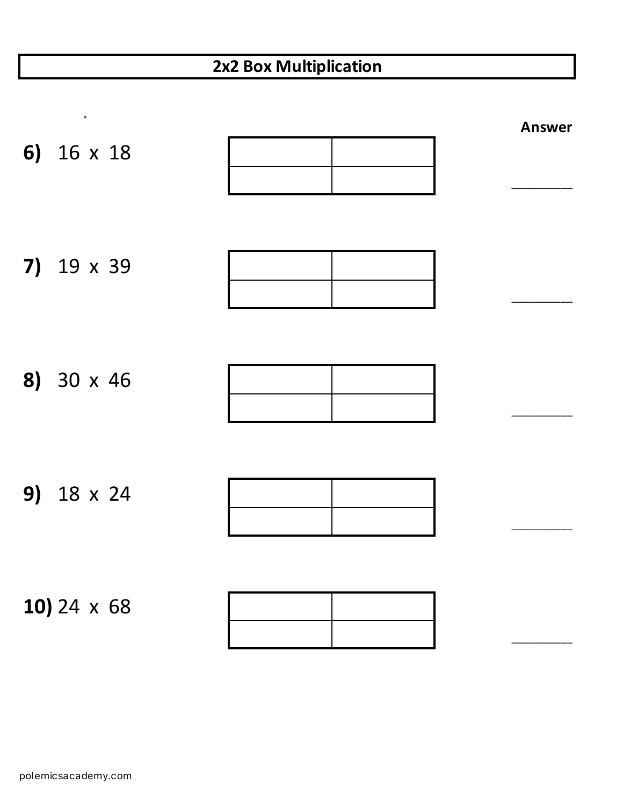| 6) 16 x 18         | <b>Answer</b> |
|--------------------|---------------|
| 7) 19 x 39         |               |
| 8) 30 x 46         |               |
| 9) 18 x 24         |               |
| 10) 24 $\times$ 68 |               |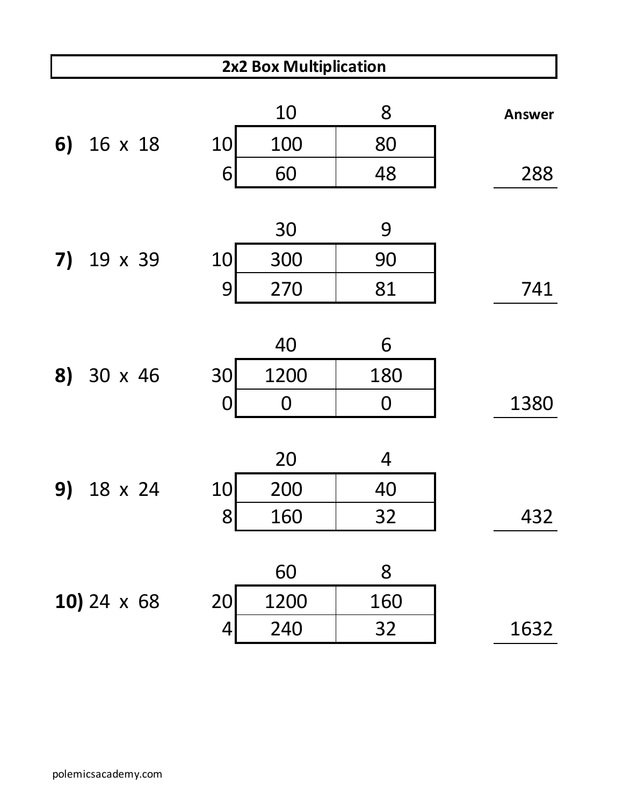|    | 2x2 Box Multiplication |  |          |             |     |               |
|----|------------------------|--|----------|-------------|-----|---------------|
|    |                        |  |          | 10          | 8   | <b>Answer</b> |
| 6) | 16 x 18                |  | 10       | 100         | 80  |               |
|    |                        |  | 6        | 60          | 48  | 288           |
|    |                        |  |          |             |     |               |
|    |                        |  |          | 30          | 9   |               |
| 7) | 19 x 39                |  | 10       | 300         | 90  |               |
|    |                        |  | 9        | 270         | 81  | 741           |
|    |                        |  |          |             |     |               |
|    |                        |  |          | 40          | 6   |               |
| 8) | 30 x 46                |  | 30       | 1200        | 180 |               |
|    |                        |  | $\bf{O}$ | $\mathbf 0$ | 0   | 1380          |
|    |                        |  |          |             |     |               |
|    |                        |  |          | 20          | 4   |               |
| 9) | 18 x 24                |  | 10       | 200         | 40  |               |
|    |                        |  | 8        | 160         | 32  | 432           |
|    |                        |  |          |             |     |               |
|    |                        |  |          | 60          | 8   |               |
|    | 10) 24 $\times$ 68     |  | 20       | 1200        | 160 |               |
|    |                        |  | 4        | 240         | 32  | 1632          |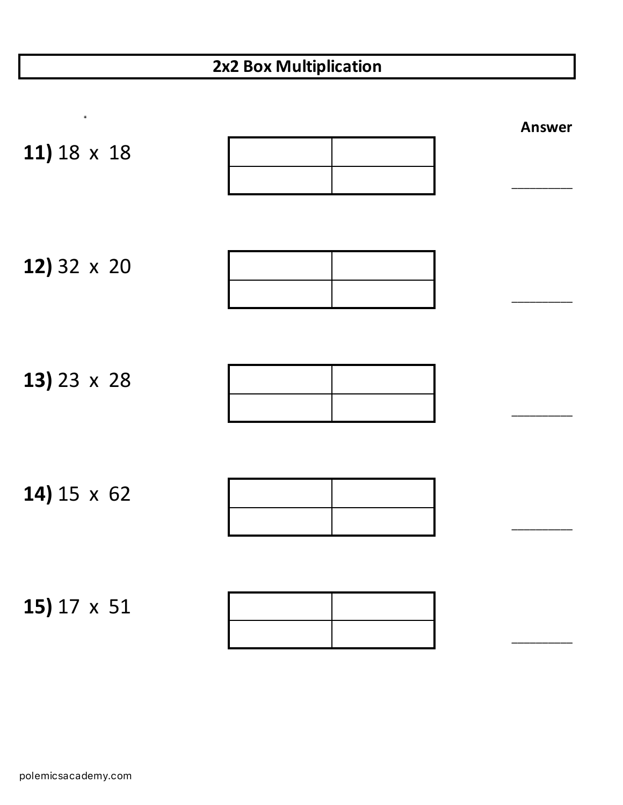| ٠                  |  | <b>Answer</b> |
|--------------------|--|---------------|
| 11) 18 x 18        |  |               |
|                    |  |               |
|                    |  |               |
| 12) 32 x 20        |  |               |
|                    |  |               |
|                    |  |               |
|                    |  |               |
| 13) 23 $\times$ 28 |  |               |
|                    |  |               |
|                    |  |               |
|                    |  |               |
| 14) $15 \times 62$ |  |               |
|                    |  |               |
|                    |  |               |
| 15) $17 \times 51$ |  |               |
|                    |  |               |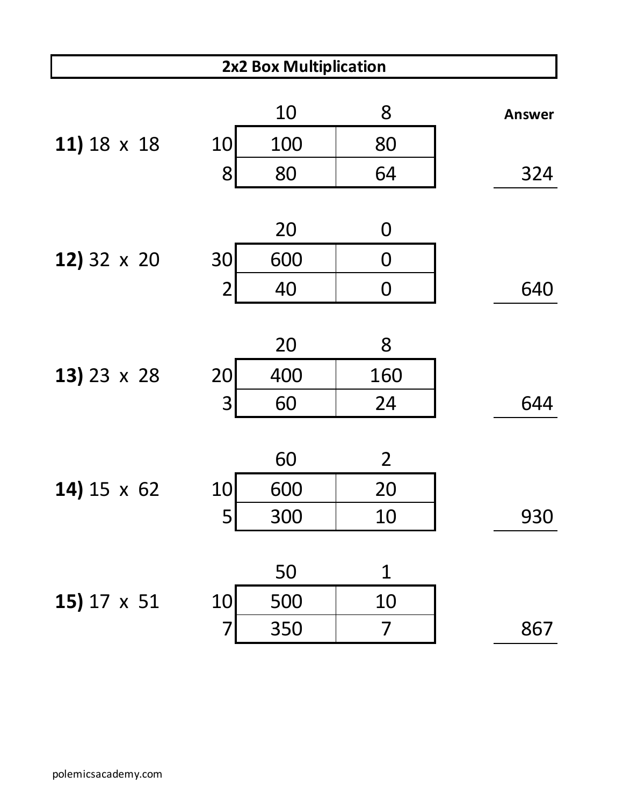| 2x2 Box Multiplication |                |     |                |               |  |
|------------------------|----------------|-----|----------------|---------------|--|
|                        |                | 10  | 8              | <b>Answer</b> |  |
| 11) 18 x 18            | 10             | 100 | 80             |               |  |
|                        | 8              | 80  | 64             | 324           |  |
|                        |                |     |                |               |  |
|                        |                | 20  | 0              |               |  |
| 12) 32 x 20            | 30             | 600 | $\overline{0}$ |               |  |
|                        | $\overline{2}$ | 40  | $\mathbf 0$    | 640           |  |
|                        |                |     |                |               |  |
|                        |                | 20  | 8              |               |  |
| 13) 23 $\times$ 28     | 20             | 400 | 160            |               |  |
|                        | 3              | 60  | 24             | 644           |  |
|                        |                |     |                |               |  |
|                        |                | 60  | $\overline{2}$ |               |  |
| 14) $15 \times 62$     | 10             | 600 | 20             |               |  |
|                        | 5              | 300 | 10             | 930           |  |
|                        |                |     |                |               |  |
|                        |                | 50  | $\mathbf 1$    |               |  |
| 15) 17 x 51            | 10             | 500 | 10             |               |  |
|                        | 7              | 350 | 7              | 867           |  |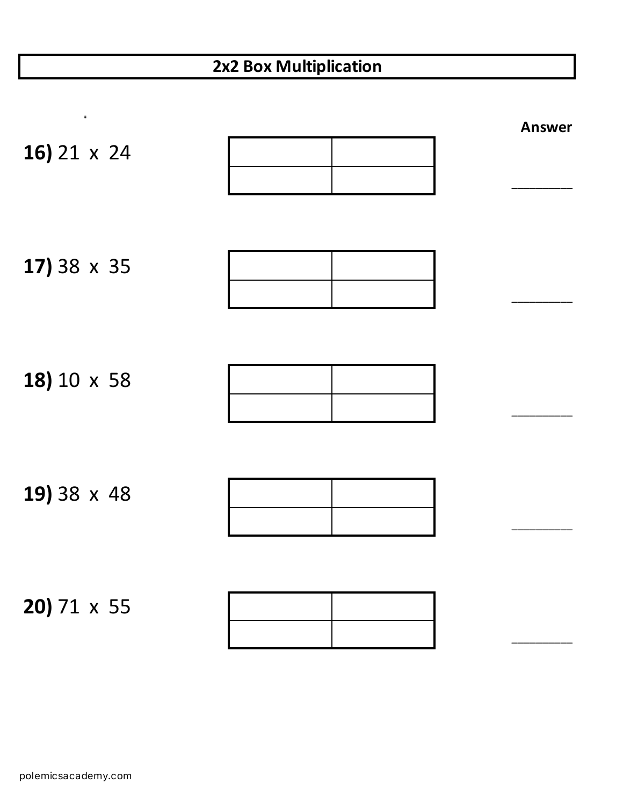| ٠                         |  | <b>Answer</b> |
|---------------------------|--|---------------|
| 16) 21 x 24               |  |               |
| 17) 38 x 35               |  |               |
| 18) 10 x 58               |  |               |
| 19) 38 x 48               |  |               |
| <b>20)</b> 71 $\times$ 55 |  |               |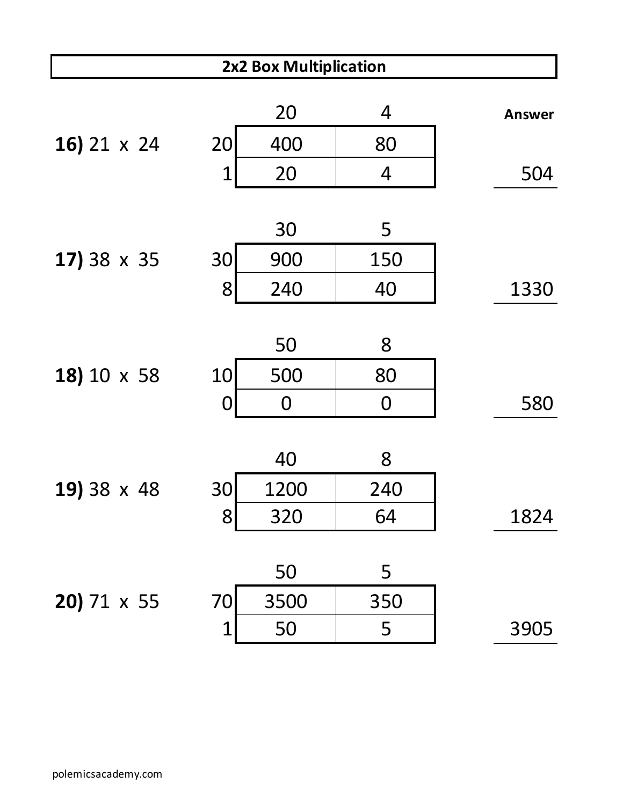| 2x2 Box Multiplication |                  |      |                |               |  |
|------------------------|------------------|------|----------------|---------------|--|
|                        |                  | 20   | 4              | <b>Answer</b> |  |
| 16) 21 x 24            | 20               | 400  | 80             |               |  |
|                        | $\mathbf 1$      | 20   | $\overline{4}$ | 504           |  |
|                        |                  |      |                |               |  |
|                        |                  | 30   | 5              |               |  |
| 17) 38 x 35            | 30               | 900  | 150            |               |  |
|                        | 8                | 240  | 40             | 1330          |  |
|                        |                  |      |                |               |  |
|                        |                  | 50   | 8              |               |  |
| 18) 10 x 58            | 10               | 500  | 80             |               |  |
|                        | $\boldsymbol{0}$ | 0    | $\mathbf 0$    | 580           |  |
|                        |                  |      |                |               |  |
|                        |                  | 40   | 8              |               |  |
| 19) 38 x 48            | 30               | 1200 | 240            |               |  |
|                        | 8                | 320  | 64             | 1824          |  |
|                        |                  |      |                |               |  |
|                        |                  | 50   | 5              |               |  |
| 20) 71 x 55            | 70               | 3500 | 350            |               |  |
|                        | $\mathbf 1$      | 50   | 5              | 3905          |  |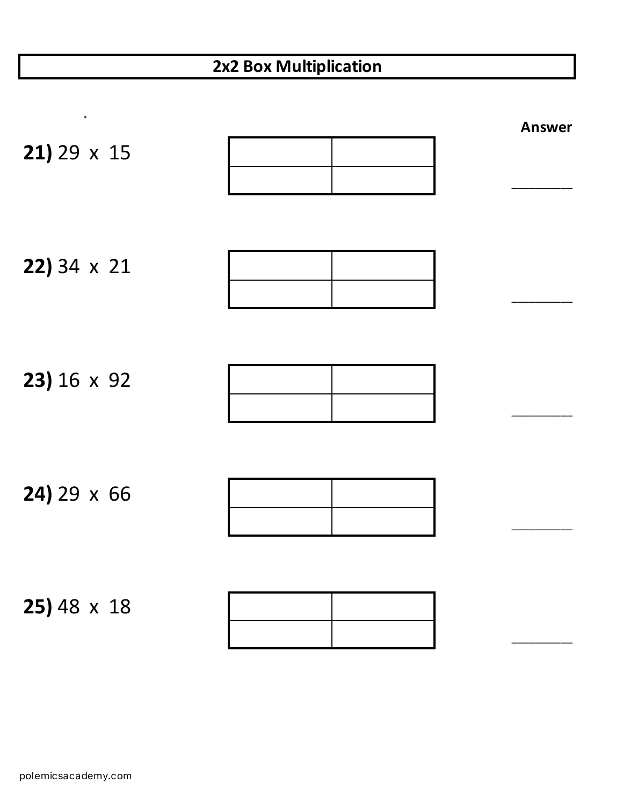| ٠                    |  | <b>Answer</b> |
|----------------------|--|---------------|
| $21) 29 \times 15$   |  |               |
| $22)$ 34 $\times$ 21 |  |               |
| 23) 16 x 92          |  |               |
| $24)$ 29 $\times$ 66 |  |               |
| $25)$ 48 $\times$ 18 |  |               |